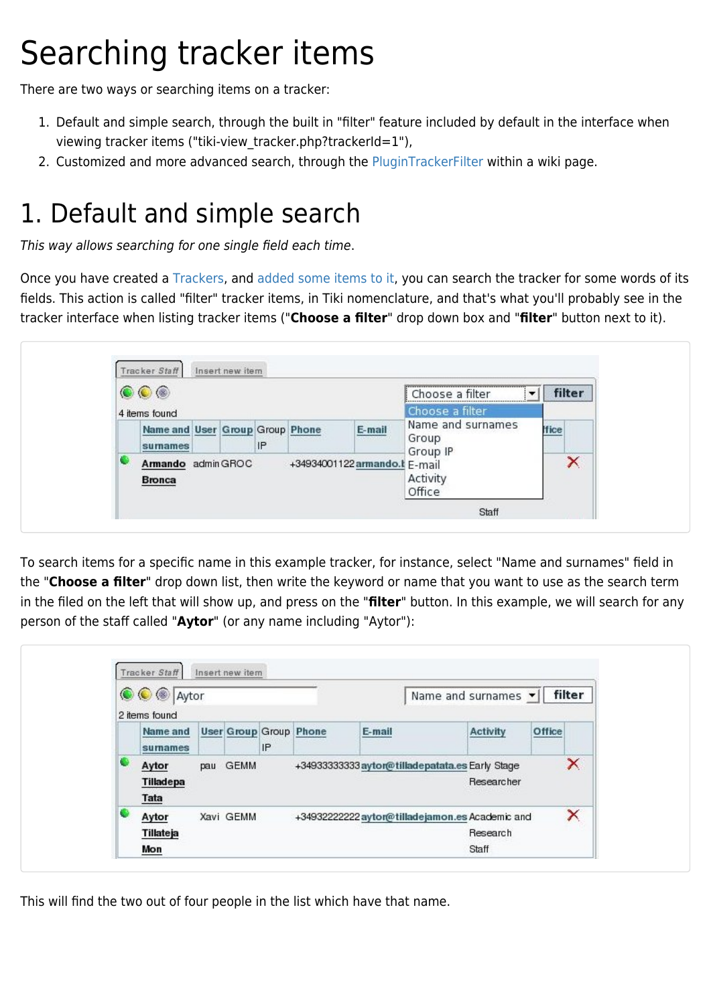## Searching tracker items

There are two ways or searching items on a tracker:

- 1. Default and simple search, through the built in "filter" feature included by default in the interface when viewing tracker items ("tiki-view tracker.php?trackerId=1"),
- 2. Customized and more advanced search, through the [PluginTrackerFilter](https://doc.tiki.org/PluginTrackerFilter) within a wiki page.

## 1. Default and simple search

This way allows searching for one single field each time.

Once you have created a [Trackers,](https://doc.tiki.org/Trackers) and [added some items to it](https://doc.tiki.org/Adding-items-to-a-tracker), you can search the tracker for some words of its fields. This action is called "filter" tracker items, in Tiki nomenclature, and that's what you'll probably see in the tracker interface when listing tracker items ("**Choose a filter**" drop down box and "**filter**" button next to it).

| $\circ\circ$ |                                                                      |  |  |    |  |        | Choose a filter                        |             | filter |
|--------------|----------------------------------------------------------------------|--|--|----|--|--------|----------------------------------------|-------------|--------|
|              | 4 items found                                                        |  |  |    |  |        | Choose a filter                        |             |        |
|              | Name and User Group Group Phone<br>sumames                           |  |  | IP |  | E-mail | Name and surnames<br>Group<br>Group IP | <b>Hice</b> |        |
|              | Armando admin GROC<br>+34934001122 armando.t E-mail<br><b>Bronca</b> |  |  |    |  |        | Activity<br>Office                     |             | ×      |

To search items for a specific name in this example tracker, for instance, select "Name and surnames" field in the "**Choose a filter**" drop down list, then write the keyword or name that you want to use as the search term in the filed on the left that will show up, and press on the "**filter**" button. In this example, we will search for any person of the staff called "**Aytor**" (or any name including "Aytor"):

| <b>OC</b> Aytor |                                  |  |           |    |                               | Name and surnames v  filter |                                                                       |        |   |
|-----------------|----------------------------------|--|-----------|----|-------------------------------|-----------------------------|-----------------------------------------------------------------------|--------|---|
|                 | 2 items found                    |  |           |    |                               |                             |                                                                       |        |   |
|                 | Name and<br>sumames              |  |           | IP | <b>User Group Group Phone</b> | E-mail                      | <b>Activity</b>                                                       | Office |   |
|                 | Aytor<br>Tilladepa<br>Tata       |  | pau GEMM  |    |                               |                             | +34933333333 aytor@tilladepatata.es Early Stage<br>Researcher         |        | × |
|                 | Aytor<br><b>Tillateja</b><br>Mon |  | Xavi GEMM |    |                               |                             | +349322222222 aytor@tilladejamon.es Academic and<br>Research<br>Staff |        | × |

This will find the two out of four people in the list which have that name.